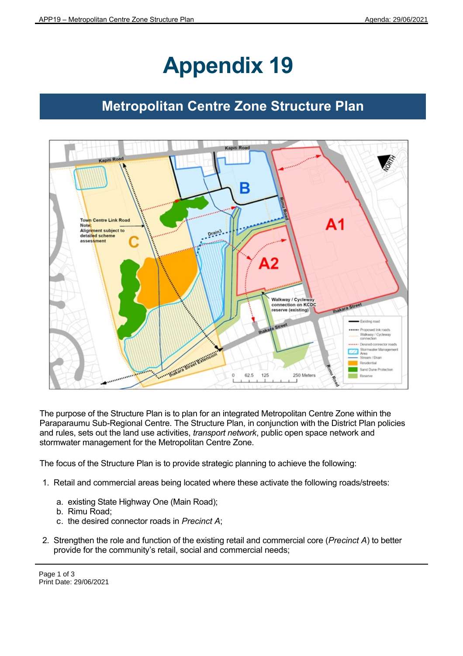## **Appendix 19**

## **Metropolitan Centre Zone Structure Plan**



The purpose of the Structure Plan is to plan for an integrated Metropolitan Centre Zone within the Paraparaumu Sub-Regional Centre. The Structure Plan, in conjunction with the District Plan policies and rules, sets out the land use activities, *transport network*, public open space network and stormwater management for the Metropolitan Centre Zone.

The focus of the Structure Plan is to provide strategic planning to achieve the following:

- 1. Retail and commercial areas being located where these activate the following roads/streets:
	- a. existing State Highway One (Main Road);
	- b. Rimu Road;
	- c. the desired connector roads in *Precinct A*;
- 2. Strengthen the role and function of the existing retail and commercial core (*Precinct A*) to better provide for the community's retail, social and commercial needs;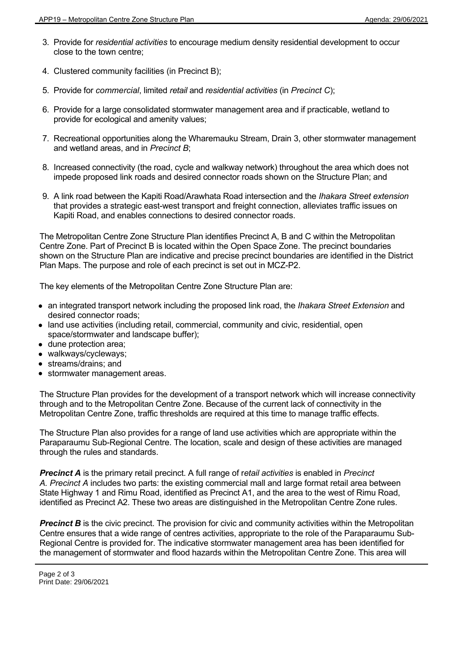- 3. Provide for *residential activities* to encourage medium density residential development to occur close to the town centre;
- 4. Clustered community facilities (in Precinct B);
- 5. Provide for *commercial*, limited *retail* and *residential activities* (in *Precinct C*);
- 6. Provide for a large consolidated stormwater management area and if practicable, wetland to provide for ecological and amenity values;
- 7. Recreational opportunities along the Wharemauku Stream, Drain 3, other stormwater management and wetland areas, and in *Precinct B*;
- 8. Increased connectivity (the road, cycle and walkway network) throughout the area which does not impede proposed link roads and desired connector roads shown on the Structure Plan; and
- 9. A link road between the Kapiti Road/Arawhata Road intersection and the *Ihakara Street extension* that provides a strategic east-west transport and freight connection, alleviates traffic issues on Kapiti Road, and enables connections to desired connector roads.

The Metropolitan Centre Zone Structure Plan identifies Precinct A, B and C within the Metropolitan Centre Zone. Part of Precinct B is located within the Open Space Zone. The precinct boundaries shown on the Structure Plan are indicative and precise precinct boundaries are identified in the District Plan Maps. The purpose and role of each precinct is set out in MCZ-P2.

The key elements of the Metropolitan Centre Zone Structure Plan are:

- an integrated transport network including the proposed link road, the *Ihakara Street Extension* and desired connector roads;
- land use activities (including retail, commercial, community and civic, residential, open space/stormwater and landscape buffer);
- dune protection area;
- walkways/cycleways;
- streams/drains; and
- **•** stormwater management areas.

The Structure Plan provides for the development of a transport network which will increase connectivity through and to the Metropolitan Centre Zone. Because of the current lack of connectivity in the Metropolitan Centre Zone, traffic thresholds are required at this time to manage traffic effects.

The Structure Plan also provides for a range of land use activities which are appropriate within the Paraparaumu Sub-Regional Centre. The location, scale and design of these activities are managed through the rules and standards.

*Precinct A* is the primary retail precinct. A full range of r*etail activities* is enabled in *Precinct A. Precinct A* includes two parts: the existing commercial mall and large format retail area between State Highway 1 and Rimu Road, identified as Precinct A1, and the area to the west of Rimu Road, identified as Precinct A2. These two areas are distinguished in the Metropolitan Centre Zone rules.

**Precinct B** is the civic precinct. The provision for civic and community activities within the Metropolitan Centre ensures that a wide range of centres activities, appropriate to the role of the Paraparaumu Sub-Regional Centre is provided for. The indicative stormwater management area has been identified for the management of stormwater and flood hazards within the Metropolitan Centre Zone. This area will